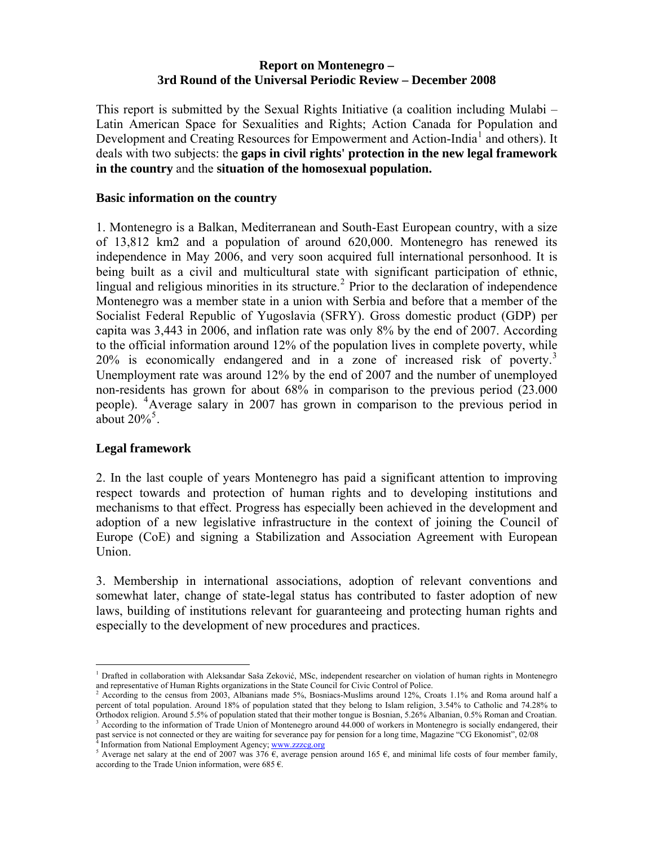### **Report on Montenegro – 3rd Round of the Universal Periodic Review – December 2008**

This report is submitted by the Sexual Rights Initiative (a coalition including Mulabi – Latin American Space for Sexualities and Rights; Action Canada for Population and Development and Creating Resources for Empowerment and Action-India<sup>[1](#page-0-0)</sup> and others). It deals with two subjects: the **gaps in civil rights' protection in the new legal framework in the country** and the **situation of the homosexual population.** 

### **Basic information on the country**

1. Montenegro is a Balkan, Mediterranean and South-East European country, with a size of 13,812 km2 and a population of around 620,000. Montenegro has renewed its independence in May 2006, and very soon acquired full international personhood. It is being built as a civil and multicultural state with significant participation of ethnic, lingual and religious minorities in its structure.<sup>[2](#page-0-1)</sup> Prior to the declaration of independence Montenegro was a member state in a union with Serbia and before that a member of the Socialist Federal Republic of Yugoslavia (SFRY). Gross domestic product (GDP) per capita was 3,443 in 2006, and inflation rate was only 8% by the end of 2007. According to the official information around 12% of the population lives in complete poverty, while  $20\%$  is economically endangered and in a zone of increased risk of poverty.<sup>[3](#page-0-2)</sup> Unemployment rate was around 12% by the end of 2007 and the number of unemployed non-residents has grown for about 68% in comparison to the previous period (23.000 people). [4](#page-0-3) Average salary in 2007 has grown in comparison to the previous period in about  $20\%$ <sup>[5](#page-0-4)</sup>.

# **Legal framework**

2. In the last couple of years Montenegro has paid a significant attention to improving respect towards and protection of human rights and to developing institutions and mechanisms to that effect. Progress has especially been achieved in the development and adoption of a new legislative infrastructure in the context of joining the Council of Europe (CoE) and signing a Stabilization and Association Agreement with European Union.

3. Membership in international associations, adoption of relevant conventions and somewhat later, change of state-legal status has contributed to faster adoption of new laws, building of institutions relevant for guaranteeing and protecting human rights and especially to the development of new procedures and practices.

<span id="page-0-0"></span><sup>1&</sup>lt;br><sup>1</sup> Drafted in collaboration with Aleksandar Saša Zeković, MSc, independent researcher on violation of human rights in Montenegro and representative of Human Rights organizations in the State Council for Civic Control of Police. 2

<span id="page-0-1"></span><sup>&</sup>lt;sup>2</sup> According to the census from 2003, Albanians made 5%, Bosniacs-Muslims around 12%, Croats 1.1% and Roma around half a percent of total population. Around 18% of population stated that they belong to Islam religion, 3.54% to Catholic and 74.28% to Orthodox religion. Around 5.5% of population stated that their mother tongue is Bosnian, 5.26% Albanian, 0.5% Roman and Croatian. 3  $A^3$  According to the information of Trade Union of Montenegro around 44.000 of workers in Montenegro is socially endangered, their past service is not connected or they are waiting for severance pay for pension for a long time, Magazine "CG Ekonomist", 02/08

<span id="page-0-4"></span><span id="page-0-3"></span><span id="page-0-2"></span><sup>&</sup>lt;sup>4</sup> Information from National Employment Agency; [www.zzzcg.org](http://www.zzzcg.org/)<br><sup>5</sup> Average net salary at the end of 2007 was 376 €, average pension around 165 €, and minimal life costs of four member family, according to the Trade Union information, were 685  $\epsilon$ .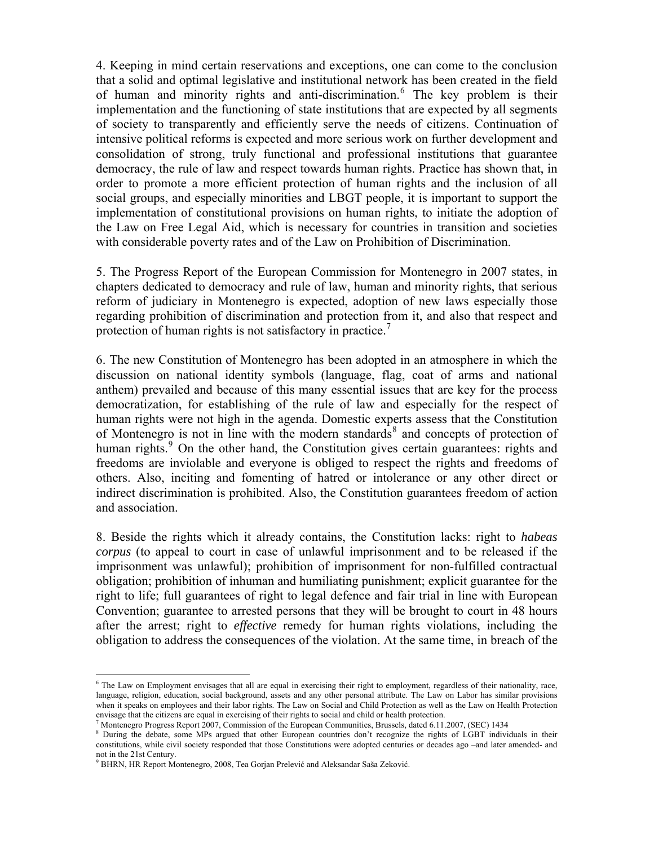4. Keeping in mind certain reservations and exceptions, one can come to the conclusion that a solid and optimal legislative and institutional network has been created in the field of human and minority rights and anti-discrimination.<sup>[6](#page-1-0)</sup> The key problem is their implementation and the functioning of state institutions that are expected by all segments of society to transparently and efficiently serve the needs of citizens. Continuation of intensive political reforms is expected and more serious work on further development and consolidation of strong, truly functional and professional institutions that guarantee democracy, the rule of law and respect towards human rights. Practice has shown that, in order to promote a more efficient protection of human rights and the inclusion of all social groups, and especially minorities and LBGT people, it is important to support the implementation of constitutional provisions on human rights, to initiate the adoption of the Law on Free Legal Aid, which is necessary for countries in transition and societies with considerable poverty rates and of the Law on Prohibition of Discrimination.

5. The Progress Report of the European Commission for Montenegro in 2007 states, in chapters dedicated to democracy and rule of law, human and minority rights, that serious reform of judiciary in Montenegro is expected, adoption of new laws especially those regarding prohibition of discrimination and protection from it, and also that respect and protection of human rights is not satisfactory in practice.

6. The new Constitution of Montenegro has been adopted in an atmosphere in which the discussion on national identity symbols (language, flag, coat of arms and national anthem) prevailed and because of this many essential issues that are key for the process democratization, for establishing of the rule of law and especially for the respect of human rights were not high in the agenda. Domestic experts assess that the Constitution of Montenegro is not in line with the modern standards<sup>[8](#page-1-2)</sup> and concepts of protection of human rights.<sup>[9](#page-1-3)</sup> On the other hand, the Constitution gives certain guarantees: rights and freedoms are inviolable and everyone is obliged to respect the rights and freedoms of others. Also, inciting and fomenting of hatred or intolerance or any other direct or indirect discrimination is prohibited. Also, the Constitution guarantees freedom of action and association.

8. Beside the rights which it already contains, the Constitution lacks: right to *habeas corpus* (to appeal to court in case of unlawful imprisonment and to be released if the imprisonment was unlawful); prohibition of imprisonment for non-fulfilled contractual obligation; prohibition of inhuman and humiliating punishment; explicit guarantee for the right to life; full guarantees of right to legal defence and fair trial in line with European Convention; guarantee to arrested persons that they will be brought to court in 48 hours after the arrest; right to *effective* remedy for human rights violations, including the obligation to address the consequences of the violation. At the same time, in breach of the

<span id="page-1-0"></span> $\overline{a}$ <sup>6</sup> The Law on Employment envisages that all are equal in exercising their right to employment, regardless of their nationality, race, language, religion, education, social background, assets and any other personal attribute. The Law on Labor has similar provisions when it speaks on employees and their labor rights. The Law on Social and Child Protection as well as the Law on Health Protection envisage that the citizens are equal in exercising of their rights to social and child or health protection. 7

<span id="page-1-1"></span> $^7$  Montenegro Progress Report 2007, Commission of the European Communities, Brussels, dated 6.11.2007, (SEC) 1434

<span id="page-1-2"></span><sup>&</sup>lt;sup>8</sup> During the debate, some MPs argued that other European countries don't recognize the rights of LGBT individuals in their constitutions, while civil society responded that those Constitutions were adopted centuries or decades ago –and later amended- and not in the 21st Century.

<span id="page-1-3"></span><sup>&</sup>lt;sup>9</sup> BHRN, HR Report Montenegro, 2008, Tea Gorjan Prelević and Aleksandar Saša Zeković.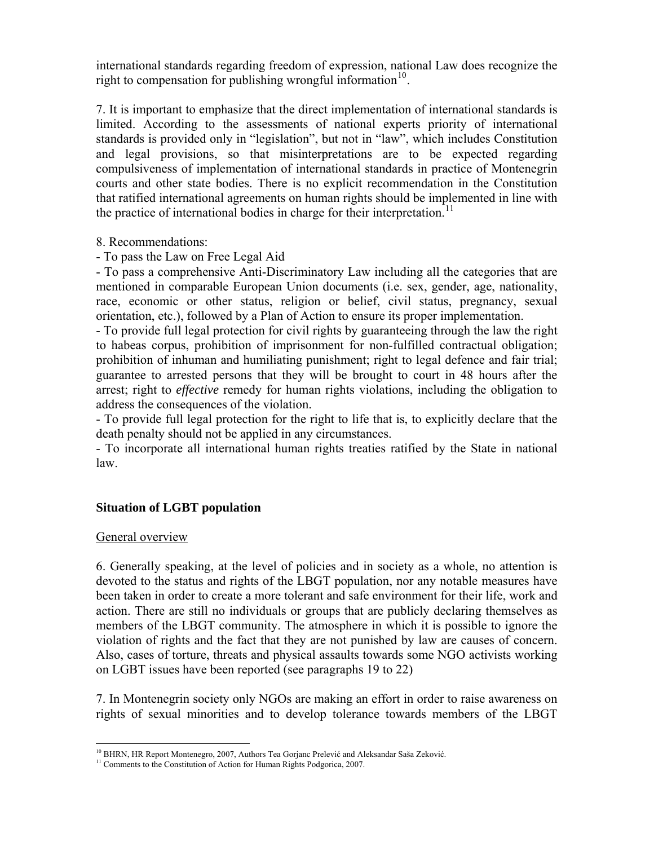international standards regarding freedom of expression, national Law does recognize the right to compensation for publishing wrongful information<sup>[10](#page-2-0)</sup>.

7. It is important to emphasize that the direct implementation of international standards is limited. According to the assessments of national experts priority of international standards is provided only in "legislation", but not in "law", which includes Constitution and legal provisions, so that misinterpretations are to be expected regarding compulsiveness of implementation of international standards in practice of Montenegrin courts and other state bodies. There is no explicit recommendation in the Constitution that ratified international agreements on human rights should be implemented in line with the practice of international bodies in charge for their interpretation.<sup>[11](#page-2-1)</sup>

8. Recommendations:

- To pass the Law on Free Legal Aid

- To pass a comprehensive Anti-Discriminatory Law including all the categories that are mentioned in comparable European Union documents (i.e. sex, gender, age, nationality, race, economic or other status, religion or belief, civil status, pregnancy, sexual orientation, etc.), followed by a Plan of Action to ensure its proper implementation.

- To provide full legal protection for civil rights by guaranteeing through the law the right to habeas corpus, prohibition of imprisonment for non-fulfilled contractual obligation; prohibition of inhuman and humiliating punishment; right to legal defence and fair trial; guarantee to arrested persons that they will be brought to court in 48 hours after the arrest; right to *effective* remedy for human rights violations, including the obligation to address the consequences of the violation.

- To provide full legal protection for the right to life that is, to explicitly declare that the death penalty should not be applied in any circumstances.

- To incorporate all international human rights treaties ratified by the State in national law.

# **Situation of LGBT population**

### General overview

6. Generally speaking, at the level of policies and in society as a whole, no attention is devoted to the status and rights of the LBGT population, nor any notable measures have been taken in order to create a more tolerant and safe environment for their life, work and action. There are still no individuals or groups that are publicly declaring themselves as members of the LBGT community. The atmosphere in which it is possible to ignore the violation of rights and the fact that they are not punished by law are causes of concern. Also, cases of torture, threats and physical assaults towards some NGO activists working on LGBT issues have been reported (see paragraphs 19 to 22)

7. In Montenegrin society only NGOs are making an effort in order to raise awareness on rights of sexual minorities and to develop tolerance towards members of the LBGT

<span id="page-2-0"></span><sup>&</sup>lt;sup>10</sup> BHRN, HR Report Montenegro, 2007, Authors Tea Gorjanc Prelević and Aleksandar Saša Zeković.

<span id="page-2-1"></span><sup>&</sup>lt;sup>11</sup> Comments to the Constitution of Action for Human Rights Podgorica, 2007.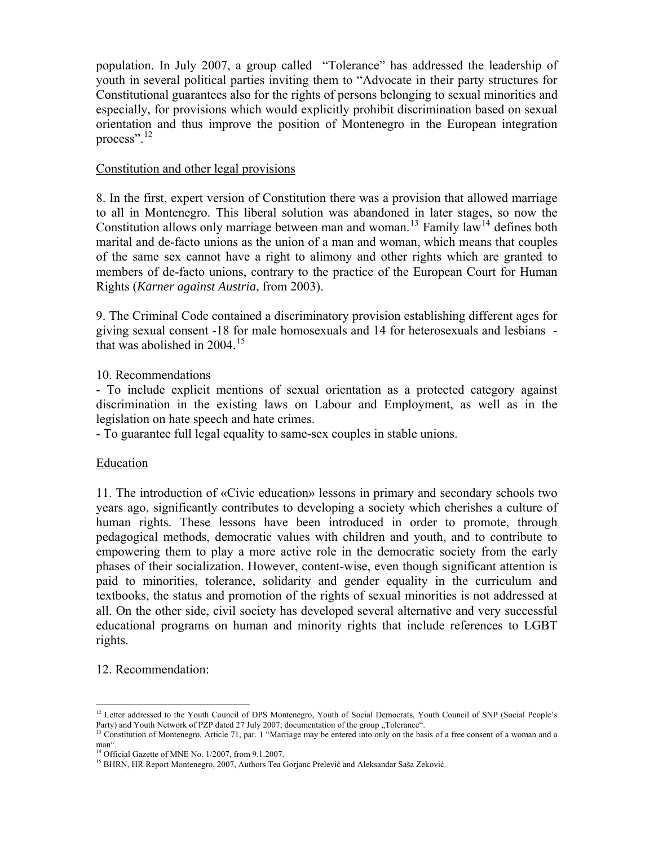population. In July 2007, a group called "Tolerance" has addressed the leadership of youth in several political parties inviting them to "Advocate in their party structures for Constitutional guarantees also for the rights of persons belonging to sexual minorities and especially, for provisions which would explicitly prohibit discrimination based on sexual orientation and thus improve the position of Montenegro in the European integration process".[12](#page-3-0)

### Constitution and other legal provisions

8. In the first, expert version of Constitution there was a provision that allowed marriage to all in Montenegro. This liberal solution was abandoned in later stages, so now the Constitution allows only marriage between man and woman.<sup>[13](#page-3-1)</sup> Family law<sup>[14](#page-3-2)</sup> defines both marital and de-facto unions as the union of a man and woman, which means that couples of the same sex cannot have a right to alimony and other rights which are granted to members of de-facto unions, contrary to the practice of the European Court for Human Rights (*Karner against Austria*, from 2003).

9. The Criminal Code contained a discriminatory provision establishing different ages for giving sexual consent -18 for male homosexuals and 14 for heterosexuals and lesbians that was abolished in  $2004$ <sup>[15](#page-3-3)</sup>

## 10. Recommendations

- To include explicit mentions of sexual orientation as a protected category against discrimination in the existing laws on Labour and Employment, as well as in the legislation on hate speech and hate crimes.

- To guarantee full legal equality to same-sex couples in stable unions.

### Education

11. The introduction of «Civic education» lessons in primary and secondary schools two years ago, significantly contributes to developing a society which cherishes a culture of human rights. These lessons have been introduced in order to promote, through pedagogical methods, democratic values with children and youth, and to contribute to empowering them to play a more active role in the democratic society from the early phases of their socialization. However, content-wise, even though significant attention is paid to minorities, tolerance, solidarity and gender equality in the curriculum and textbooks, the status and promotion of the rights of sexual minorities is not addressed at all. On the other side, civil society has developed several alternative and very successful educational programs on human and minority rights that include references to LGBT rights.

# 12. Recommendation:

 $\overline{a}$ <sup>12</sup> Letter addressed to the Youth Council of DPS Montenegro, Youth of Social Democrats, Youth Council of SNP (Social People's Party) and Youth Network of PZP dated 27 July 2007; documentation of the group "Tolerance".<br><sup>13</sup> Constitution of Montenegro, Article 71, par. 1 "Marriage may be entered into only on the basis of a free consent of a woman a

<span id="page-3-1"></span><span id="page-3-0"></span>man".

<span id="page-3-2"></span><sup>&</sup>lt;sup>14</sup> Official Gazette of MNE No. 1/2007, from 9.1.2007.

<span id="page-3-3"></span><sup>&</sup>lt;sup>15</sup> BHRN, HR Report Montenegro, 2007, Authors Tea Gorjanc Prelević and Aleksandar Saša Zeković.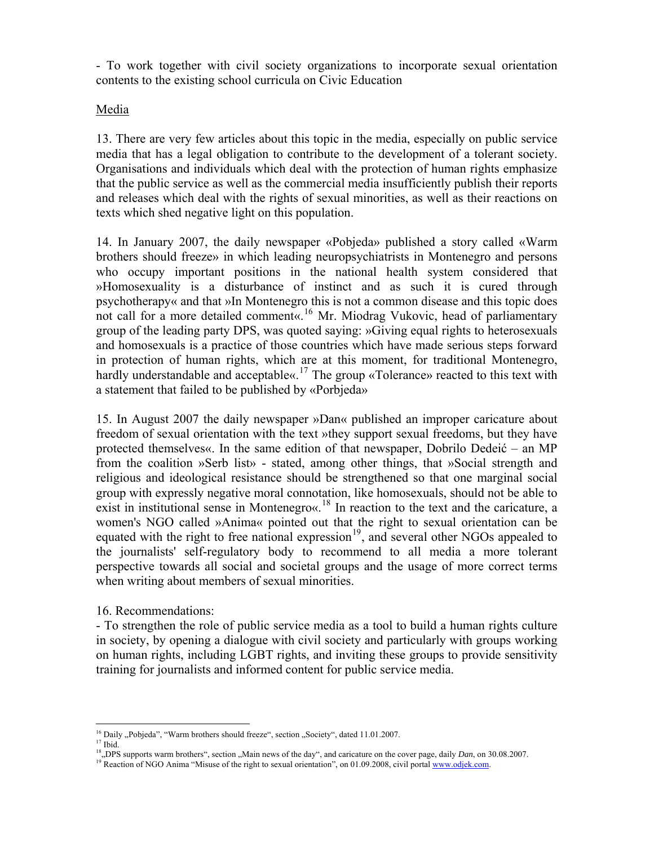- To work together with civil society organizations to incorporate sexual orientation contents to the existing school curricula on Civic Education

### Media

13. There are very few articles about this topic in the media, especially on public service media that has a legal obligation to contribute to the development of a tolerant society. Organisations and individuals which deal with the protection of human rights emphasize that the public service as well as the commercial media insufficiently publish their reports and releases which deal with the rights of sexual minorities, as well as their reactions on texts which shed negative light on this population.

14. In January 2007, the daily newspaper «Pobjeda» published a story called «Warm brothers should freeze» in which leading neuropsychiatrists in Montenegro and persons who occupy important positions in the national health system considered that »Homosexuality is a disturbance of instinct and as such it is cured through psychotherapy« and that »In Montenegro this is not a common disease and this topic does not call for a more detailed comment«.<sup>[16](#page-4-0)</sup> Mr. Miodrag Vukovic, head of parliamentary group of the leading party DPS, was quoted saying: »Giving equal rights to heterosexuals and homosexuals is a practice of those countries which have made serious steps forward in protection of human rights, which are at this moment, for traditional Montenegro, hardly understandable and acceptable«.<sup>[17](#page-4-1)</sup> The group «Tolerance» reacted to this text with a statement that failed to be published by «Porbjeda»

15. In August 2007 the daily newspaper »Dan« published an improper caricature about freedom of sexual orientation with the text »they support sexual freedoms, but they have protected themselves«. In the same edition of that newspaper, Dobrilo Dedeić – an MP from the coalition »Serb list» - stated, among other things, that »Social strength and religious and ideological resistance should be strengthened so that one marginal social group with expressly negative moral connotation, like homosexuals, should not be able to exist in institutional sense in Montenegro«.<sup>[18](#page-4-2)</sup> In reaction to the text and the caricature, a women's NGO called »Anima« pointed out that the right to sexual orientation can be equated with the right to free national expression<sup>[19](#page-4-3)</sup>, and several other NGOs appealed to the journalists' self-regulatory body to recommend to all media a more tolerant perspective towards all social and societal groups and the usage of more correct terms when writing about members of sexual minorities.

### 16. Recommendations:

- To strengthen the role of public service media as a tool to build a human rights culture in society, by opening a dialogue with civil society and particularly with groups working on human rights, including LGBT rights, and inviting these groups to provide sensitivity training for journalists and informed content for public service media.

 $\overline{a}$ 

<span id="page-4-2"></span><span id="page-4-1"></span><span id="page-4-0"></span>

<sup>&</sup>lt;sup>16</sup> Daily "Pobjeda", "Warm brothers should freeze", section "Society", dated 11.01.2007.<br><sup>17</sup> Ibid.<br><sup>18</sup> "DPS supports warm brothers", section "Main news of the day", and caricature on the cover page, daily *Dan*, on 30.

<span id="page-4-3"></span><sup>&</sup>lt;sup>19</sup> Reaction of NGO Anima "Misuse of the right to sexual orientation", on 01.09.2008, civil portal [www.odjek.com.](http://www.odjek.com/)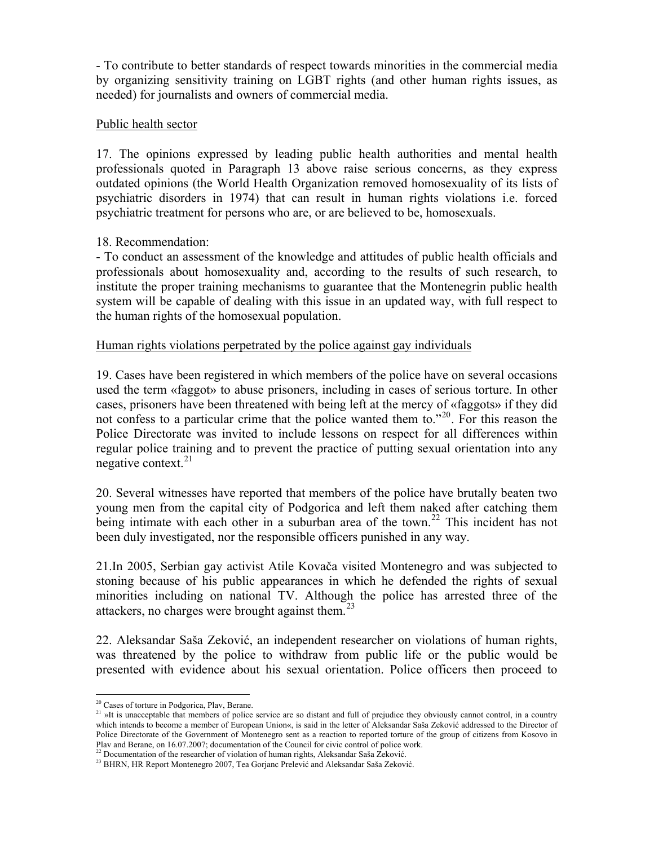- To contribute to better standards of respect towards minorities in the commercial media by organizing sensitivity training on LGBT rights (and other human rights issues, as needed) for journalists and owners of commercial media.

### Public health sector

17. The opinions expressed by leading public health authorities and mental health professionals quoted in Paragraph 13 above raise serious concerns, as they express outdated opinions (the World Health Organization removed homosexuality of its lists of psychiatric disorders in 1974) that can result in human rights violations i.e. forced psychiatric treatment for persons who are, or are believed to be, homosexuals.

## 18. Recommendation:

- To conduct an assessment of the knowledge and attitudes of public health officials and professionals about homosexuality and, according to the results of such research, to institute the proper training mechanisms to guarantee that the Montenegrin public health system will be capable of dealing with this issue in an updated way, with full respect to the human rights of the homosexual population.

## Human rights violations perpetrated by the police against gay individuals

19. Cases have been registered in which members of the police have on several occasions used the term «faggot» to abuse prisoners, including in cases of serious torture. In other cases, prisoners have been threatened with being left at the mercy of «faggots» if they did not confess to a particular crime that the police wanted them to.<sup>"[20](#page-5-0)</sup>. For this reason the Police Directorate was invited to include lessons on respect for all differences within regular police training and to prevent the practice of putting sexual orientation into any negative context. $^{21}$  $^{21}$  $^{21}$ 

20. Several witnesses have reported that members of the police have brutally beaten two young men from the capital city of Podgorica and left them naked after catching them being intimate with each other in a suburban area of the town.<sup>[22](#page-5-2)</sup> This incident has not been duly investigated, nor the responsible officers punished in any way.

21.In 2005, Serbian gay activist Atile Kovača visited Montenegro and was subjected to stoning because of his public appearances in which he defended the rights of sexual minorities including on national TV. Although the police has arrested three of the attackers, no charges were brought against them. $^{23}$  $^{23}$  $^{23}$ 

22. Aleksandar Saša Zeković, an independent researcher on violations of human rights, was threatened by the police to withdraw from public life or the public would be presented with evidence about his sexual orientation. Police officers then proceed to

 $\overline{a}$ <sup>20</sup> Cases of torture in Podgorica, Plav, Berane.

<span id="page-5-1"></span><span id="page-5-0"></span><sup>&</sup>lt;sup>21</sup> »It is unacceptable that members of police service are so distant and full of prejudice they obviously cannot control, in a country which intends to become a member of European Union«, is said in the letter of Aleksandar Saša Zeković addressed to the Director of Police Directorate of the Government of Montenegro sent as a reaction to reported torture of the group of citizens from Kosovo in Plav and Berane, on 16.07.2007; documentation of the Council for civic control of police work.<br><sup>22</sup> Documentation of the researcher of violation of human rights, Aleksandar Saša Zeković.<br><sup>23</sup> BHRN, HR Report Montenegro 200

<span id="page-5-2"></span>

<span id="page-5-3"></span>